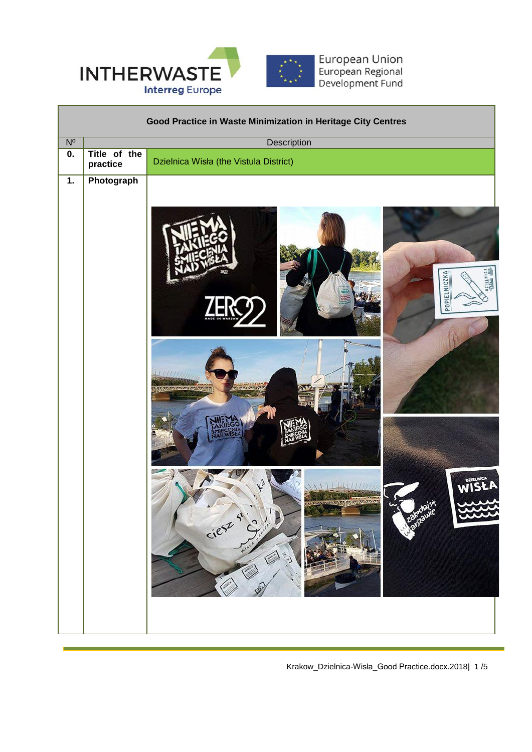

| <b>Thing</b><br>WISE |
|----------------------|
|                      |

Krakow\_Dzielnica-Wisła\_Good Practice.docx.2018| 1 /5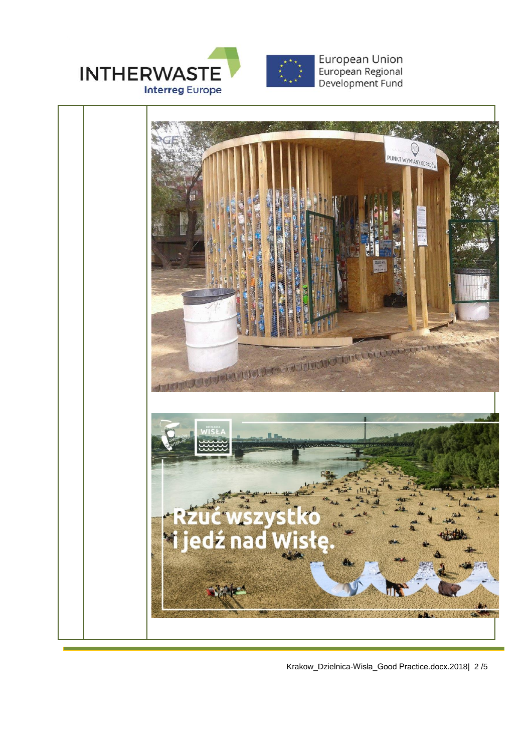



Krakow\_Dzielnica-Wisła\_Good Practice.docx.2018| 2 /5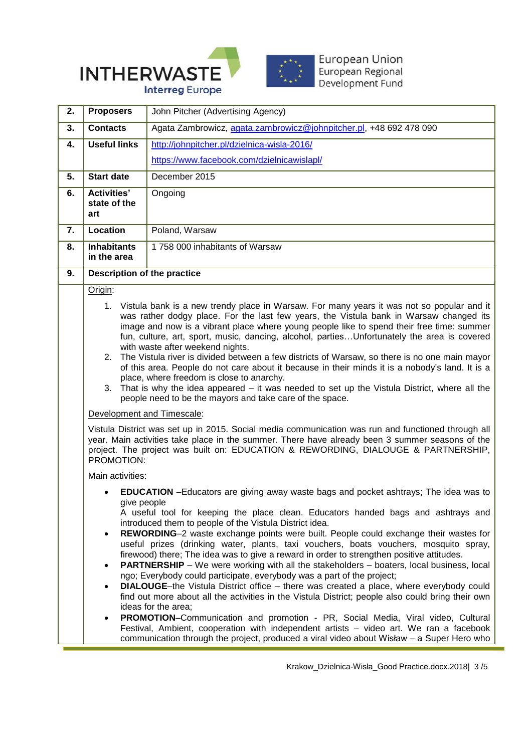

| 2. | <b>Proposers</b>                                | John Pitcher (Advertising Agency)                                                                                                                                                                                                                                                                                                                                                                                                                                                                                                                                                                                                                                                                                                                                                                                                                                                                                                                                                                                                                                                                                                                                                                        |  |
|----|-------------------------------------------------|----------------------------------------------------------------------------------------------------------------------------------------------------------------------------------------------------------------------------------------------------------------------------------------------------------------------------------------------------------------------------------------------------------------------------------------------------------------------------------------------------------------------------------------------------------------------------------------------------------------------------------------------------------------------------------------------------------------------------------------------------------------------------------------------------------------------------------------------------------------------------------------------------------------------------------------------------------------------------------------------------------------------------------------------------------------------------------------------------------------------------------------------------------------------------------------------------------|--|
| 3. | <b>Contacts</b>                                 | Agata Zambrowicz, agata.zambrowicz@johnpitcher.pl, +48 692 478 090                                                                                                                                                                                                                                                                                                                                                                                                                                                                                                                                                                                                                                                                                                                                                                                                                                                                                                                                                                                                                                                                                                                                       |  |
| 4. | <b>Useful links</b>                             | http://johnpitcher.pl/dzielnica-wisla-2016/                                                                                                                                                                                                                                                                                                                                                                                                                                                                                                                                                                                                                                                                                                                                                                                                                                                                                                                                                                                                                                                                                                                                                              |  |
|    |                                                 | https://www.facebook.com/dzielnicawislapl/                                                                                                                                                                                                                                                                                                                                                                                                                                                                                                                                                                                                                                                                                                                                                                                                                                                                                                                                                                                                                                                                                                                                                               |  |
| 5. | <b>Start date</b>                               | December 2015                                                                                                                                                                                                                                                                                                                                                                                                                                                                                                                                                                                                                                                                                                                                                                                                                                                                                                                                                                                                                                                                                                                                                                                            |  |
| 6. | <b>Activities'</b><br>state of the<br>art       | Ongoing                                                                                                                                                                                                                                                                                                                                                                                                                                                                                                                                                                                                                                                                                                                                                                                                                                                                                                                                                                                                                                                                                                                                                                                                  |  |
| 7. | Location                                        | Poland, Warsaw                                                                                                                                                                                                                                                                                                                                                                                                                                                                                                                                                                                                                                                                                                                                                                                                                                                                                                                                                                                                                                                                                                                                                                                           |  |
| 8. | <b>Inhabitants</b><br>in the area               | 1758 000 inhabitants of Warsaw                                                                                                                                                                                                                                                                                                                                                                                                                                                                                                                                                                                                                                                                                                                                                                                                                                                                                                                                                                                                                                                                                                                                                                           |  |
| 9. | Description of the practice                     |                                                                                                                                                                                                                                                                                                                                                                                                                                                                                                                                                                                                                                                                                                                                                                                                                                                                                                                                                                                                                                                                                                                                                                                                          |  |
|    | Origin:                                         |                                                                                                                                                                                                                                                                                                                                                                                                                                                                                                                                                                                                                                                                                                                                                                                                                                                                                                                                                                                                                                                                                                                                                                                                          |  |
|    | 2.<br>3.                                        | 1. Vistula bank is a new trendy place in Warsaw. For many years it was not so popular and it<br>was rather dodgy place. For the last few years, the Vistula bank in Warsaw changed its<br>image and now is a vibrant place where young people like to spend their free time: summer<br>fun, culture, art, sport, music, dancing, alcohol, partiesUnfortunately the area is covered<br>with waste after weekend nights.<br>The Vistula river is divided between a few districts of Warsaw, so there is no one main mayor<br>of this area. People do not care about it because in their minds it is a nobody's land. It is a<br>place, where freedom is close to anarchy.<br>That is why the idea appeared $-$ it was needed to set up the Vistula District, where all the<br>people need to be the mayors and take care of the space.                                                                                                                                                                                                                                                                                                                                                                     |  |
|    | Development and Timescale:                      |                                                                                                                                                                                                                                                                                                                                                                                                                                                                                                                                                                                                                                                                                                                                                                                                                                                                                                                                                                                                                                                                                                                                                                                                          |  |
|    | PROMOTION:                                      | Vistula District was set up in 2015. Social media communication was run and functioned through all<br>year. Main activities take place in the summer. There have already been 3 summer seasons of the<br>project. The project was built on: EDUCATION & REWORDING, DIALOUGE & PARTNERSHIP,                                                                                                                                                                                                                                                                                                                                                                                                                                                                                                                                                                                                                                                                                                                                                                                                                                                                                                               |  |
|    | Main activities:                                |                                                                                                                                                                                                                                                                                                                                                                                                                                                                                                                                                                                                                                                                                                                                                                                                                                                                                                                                                                                                                                                                                                                                                                                                          |  |
|    | give people<br>٠<br>٠<br>$\bullet$<br>$\bullet$ | <b>EDUCATION</b> - Educators are giving away waste bags and pocket ashtrays; The idea was to<br>A useful tool for keeping the place clean. Educators handed bags and ashtrays and<br>introduced them to people of the Vistula District idea.<br>REWORDING-2 waste exchange points were built. People could exchange their wastes for<br>useful prizes (drinking water, plants, taxi vouchers, boats vouchers, mosquito spray,<br>firewood) there; The idea was to give a reward in order to strengthen positive attitudes.<br><b>PARTNERSHIP</b> – We were working with all the stakeholders – boaters, local business, local<br>ngo; Everybody could participate, everybody was a part of the project;<br>DIALOUGE-the Vistula District office - there was created a place, where everybody could<br>find out more about all the activities in the Vistula District; people also could bring their own<br>ideas for the area;<br>PROMOTION-Communication and promotion - PR, Social Media, Viral video, Cultural<br>Festival, Ambient, cooperation with independent artists - video art. We ran a facebook<br>communication through the project, produced a viral video about Wisław – a Super Hero who |  |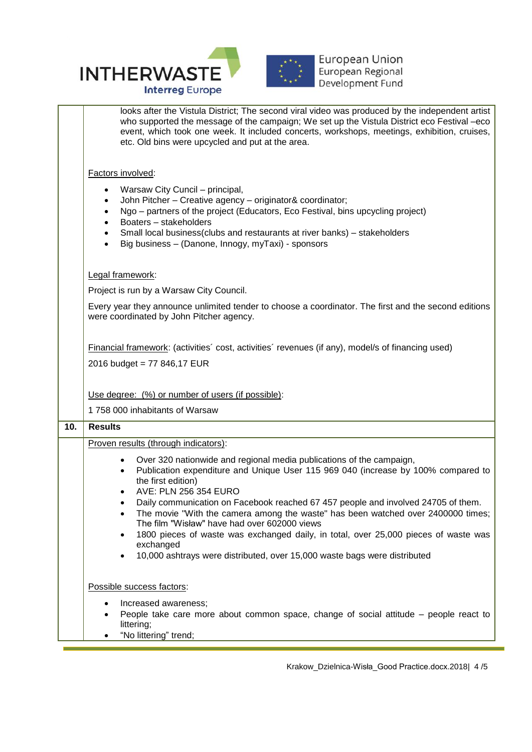

|     | looks after the Vistula District; The second viral video was produced by the independent artist<br>who supported the message of the campaign; We set up the Vistula District eco Festival -eco<br>event, which took one week. It included concerts, workshops, meetings, exhibition, cruises,<br>etc. Old bins were upcycled and put at the area.                                    |  |  |
|-----|--------------------------------------------------------------------------------------------------------------------------------------------------------------------------------------------------------------------------------------------------------------------------------------------------------------------------------------------------------------------------------------|--|--|
|     | Factors involved:                                                                                                                                                                                                                                                                                                                                                                    |  |  |
|     | Warsaw City Cuncil – principal,<br>$\bullet$<br>John Pitcher - Creative agency - originator& coordinator;<br>$\bullet$<br>Ngo - partners of the project (Educators, Eco Festival, bins upcycling project)<br>Boaters - stakeholders<br>Small local business (clubs and restaurants at river banks) – stakeholders<br>$\bullet$<br>Big business - (Danone, Innogy, myTaxi) - sponsors |  |  |
|     | Legal framework:                                                                                                                                                                                                                                                                                                                                                                     |  |  |
|     | Project is run by a Warsaw City Council.                                                                                                                                                                                                                                                                                                                                             |  |  |
|     | Every year they announce unlimited tender to choose a coordinator. The first and the second editions<br>were coordinated by John Pitcher agency.                                                                                                                                                                                                                                     |  |  |
|     | Financial framework: (activities' cost, activities' revenues (if any), model/s of financing used)                                                                                                                                                                                                                                                                                    |  |  |
|     | 2016 budget = 77 846,17 EUR                                                                                                                                                                                                                                                                                                                                                          |  |  |
|     |                                                                                                                                                                                                                                                                                                                                                                                      |  |  |
|     | Use degree: (%) or number of users (if possible):                                                                                                                                                                                                                                                                                                                                    |  |  |
|     | 1758 000 inhabitants of Warsaw                                                                                                                                                                                                                                                                                                                                                       |  |  |
| 10. | <b>Results</b>                                                                                                                                                                                                                                                                                                                                                                       |  |  |
|     | Proven results (through indicators):                                                                                                                                                                                                                                                                                                                                                 |  |  |
|     | Over 320 nationwide and regional media publications of the campaign,<br>Publication expenditure and Unique User 115 969 040 (increase by 100% compared to<br>the first edition)<br>AVE: PLN 256 354 EURO                                                                                                                                                                             |  |  |
|     | Daily communication on Facebook reached 67 457 people and involved 24705 of them.<br>The movie "With the camera among the waste" has been watched over 2400000 times;<br>The film "Wisław" have had over 602000 views                                                                                                                                                                |  |  |
|     | 1800 pieces of waste was exchanged daily, in total, over 25,000 pieces of waste was                                                                                                                                                                                                                                                                                                  |  |  |
|     | exchanged<br>10,000 ashtrays were distributed, over 15,000 waste bags were distributed                                                                                                                                                                                                                                                                                               |  |  |
|     | Possible success factors:                                                                                                                                                                                                                                                                                                                                                            |  |  |
|     | Increased awareness;<br>People take care more about common space, change of social attitude – people react to<br>littering;<br>"No littering" trend;                                                                                                                                                                                                                                 |  |  |
|     |                                                                                                                                                                                                                                                                                                                                                                                      |  |  |

Krakow\_Dzielnica-Wisła\_Good Practice.docx.2018| 4 /5